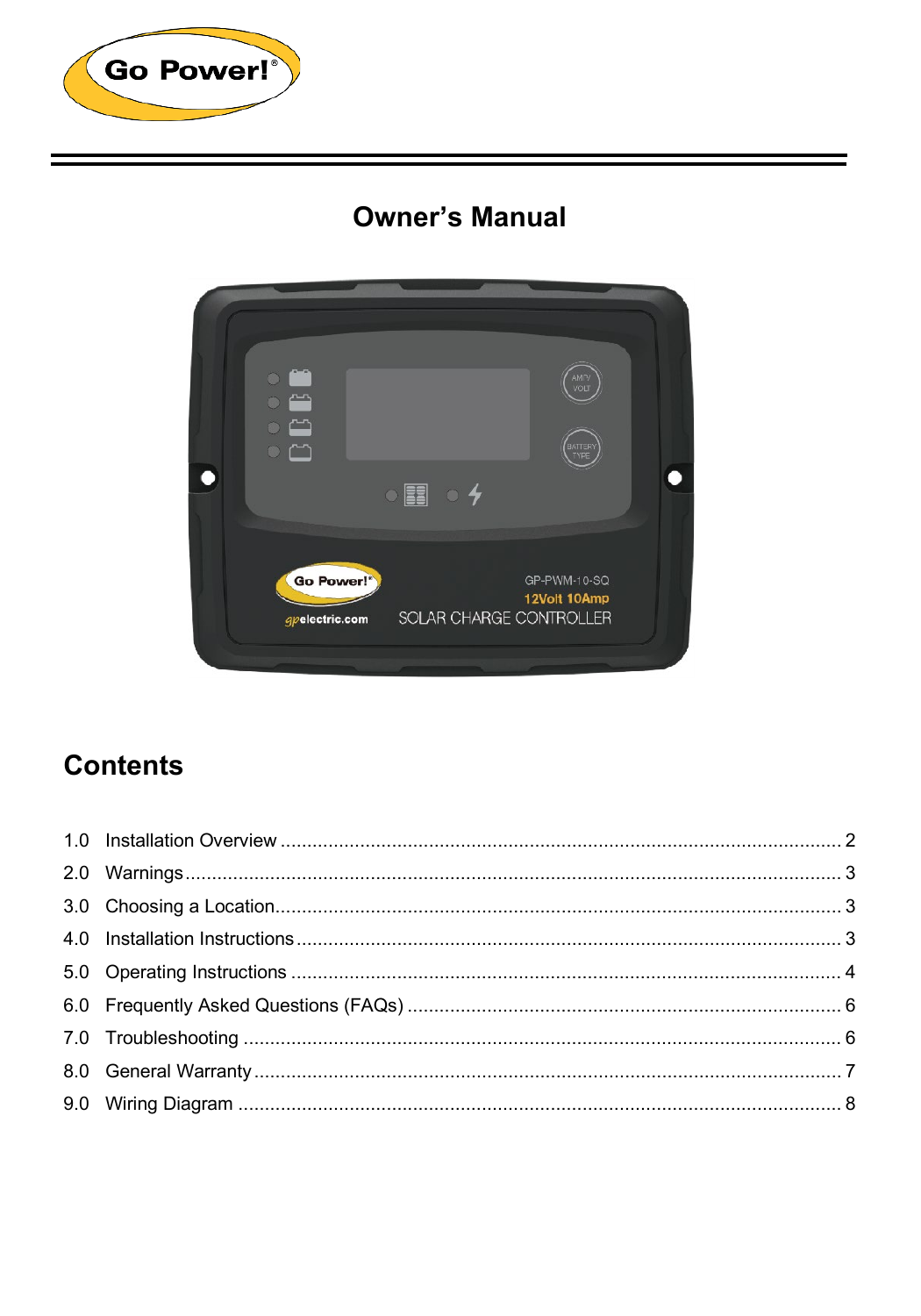

# **Owner's Manual**



# **Contents**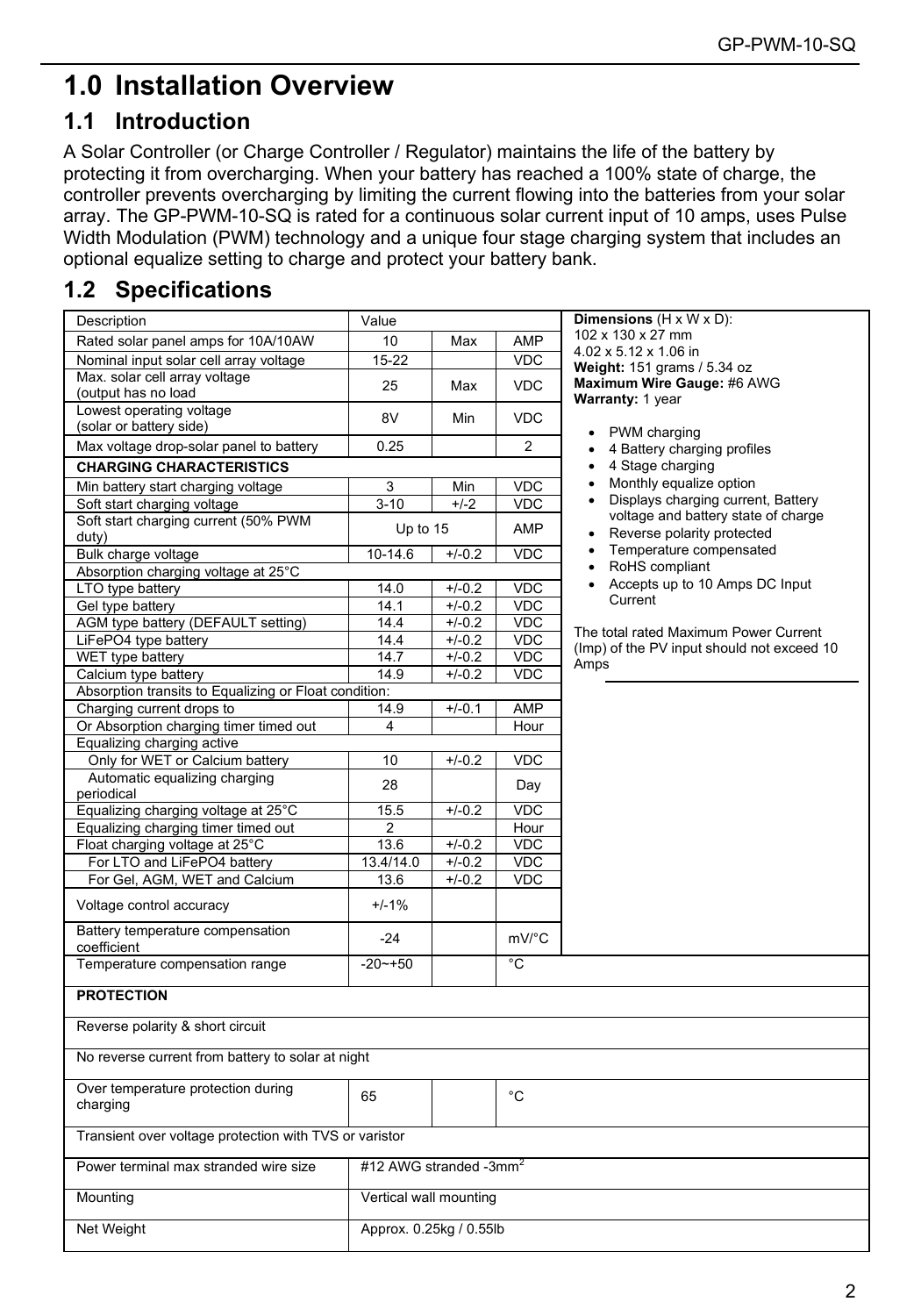# <span id="page-1-0"></span>**1.0 Installation Overview**

### **1.1 Introduction**

A Solar Controller (or Charge Controller / Regulator) maintains the life of the battery by protecting it from overcharging. When your battery has reached a 100% state of charge, the controller prevents overcharging by limiting the current flowing into the batteries from your solar array. The GP-PWM-10-SQ is rated for a continuous solar current input of 10 amps, uses Pulse Width Modulation (PWM) technology and a unique four stage charging system that includes an optional equalize setting to charge and protect your battery bank.

### **1.2 Specifications**

| 102 x 130 x 27 mm<br>Rated solar panel amps for 10A/10AW<br>10<br>AMP<br>Max<br>4.02 x 5.12 x 1.06 in<br>Nominal input solar cell array voltage<br><b>VDC</b><br>15-22<br>Weight: 151 grams / 5.34 oz<br>Max. solar cell array voltage<br>Maximum Wire Gauge: #6 AWG<br>25<br><b>VDC</b><br>Max<br>(output has no load<br>Warranty: 1 year<br>Lowest operating voltage<br>8V<br>Min<br><b>VDC</b><br>(solar or battery side)<br>• PWM charging<br>Max voltage drop-solar panel to battery<br>$\overline{2}$<br>0.25<br>4 Battery charging profiles<br>٠<br>4 Stage charging<br><b>CHARGING CHARACTERISTICS</b><br>$\bullet$<br>Monthly equalize option<br>$\bullet$<br>Min battery start charging voltage<br>3<br><b>VDC</b><br>Min<br>Displays charging current, Battery<br>$\bullet$<br>$3 - 10$<br>$+/-2$<br><b>VDC</b><br>Soft start charging voltage<br>voltage and battery state of charge<br>Soft start charging current (50% PWM<br>Up to 15<br>AMP<br>• Reverse polarity protected<br>duty)<br>• Temperature compensated<br>Bulk charge voltage<br>10-14.6<br>$+/-0.2$<br><b>VDC</b><br>• RoHS compliant<br>Absorption charging voltage at 25°C<br>Accepts up to 10 Amps DC Input<br>$\bullet$<br>LTO type battery<br><b>VDC</b><br>14.0<br>$+/-0.2$<br>Current<br><b>VDC</b><br>Gel type battery<br>14.1<br>$+/-0.2$<br>AGM type battery (DEFAULT setting)<br>14.4<br>$+/-0.2$<br><b>VDC</b><br>The total rated Maximum Power Current<br>LiFePO4 type battery<br>14.4<br>$+/-0.2$<br><b>VDC</b><br>(Imp) of the PV input should not exceed 10<br>WET type battery<br>14.7<br><b>VDC</b><br>$+/-0.2$<br>Amps<br>Calcium type battery<br>14.9<br>$+/-0.2$<br><b>VDC</b><br>Absorption transits to Equalizing or Float condition:<br>Charging current drops to<br>14.9<br>$+/-0.1$<br>AMP<br>Or Absorption charging timer timed out<br>4<br>Hour<br>Equalizing charging active<br>Only for WET or Calcium battery<br>10<br>$+/-0.2$<br><b>VDC</b><br>Automatic equalizing charging<br>28<br>Day<br>periodical<br>15.5<br>VDC<br>Equalizing charging voltage at 25°C<br>$+/-0.2$<br>Equalizing charging timer timed out<br>$\overline{2}$<br>Hour<br>Float charging voltage at 25°C<br><b>VDC</b><br>13.6<br>$+/-0.2$<br>For LTO and LiFePO4 battery<br>$+/-0.2$<br>VDC<br>13.4/14.0<br>For Gel, AGM, WET and Calcium<br>$+/-0.2$<br><b>VDC</b><br>13.6<br>$+/-1%$<br>Voltage control accuracy<br>Battery temperature compensation<br>mV/°C<br>$-24$<br>coefficient<br>Temperature compensation range<br>$-20 - 50$<br>۰C<br><b>PROTECTION</b><br>Reverse polarity & short circuit<br>No reverse current from battery to solar at night<br>Over temperature protection during<br>°C<br>65<br>charging<br>Transient over voltage protection with TVS or varistor<br>#12 AWG stranded -3mm <sup>2</sup><br>Power terminal max stranded wire size<br>Vertical wall mounting<br>Mounting<br>Net Weight<br>Approx. 0.25kg / 0.55lb | Description | Value |  |  | Dimensions $(H \times W \times D)$ : |  |  |
|-------------------------------------------------------------------------------------------------------------------------------------------------------------------------------------------------------------------------------------------------------------------------------------------------------------------------------------------------------------------------------------------------------------------------------------------------------------------------------------------------------------------------------------------------------------------------------------------------------------------------------------------------------------------------------------------------------------------------------------------------------------------------------------------------------------------------------------------------------------------------------------------------------------------------------------------------------------------------------------------------------------------------------------------------------------------------------------------------------------------------------------------------------------------------------------------------------------------------------------------------------------------------------------------------------------------------------------------------------------------------------------------------------------------------------------------------------------------------------------------------------------------------------------------------------------------------------------------------------------------------------------------------------------------------------------------------------------------------------------------------------------------------------------------------------------------------------------------------------------------------------------------------------------------------------------------------------------------------------------------------------------------------------------------------------------------------------------------------------------------------------------------------------------------------------------------------------------------------------------------------------------------------------------------------------------------------------------------------------------------------------------------------------------------------------------------------------------------------------------------------------------------------------------------------------------------------------------------------------------------------------------------------------------------------------------------------------------------------------------------------------------------------------------------------------------------------------------------------------------------------------------------------------------------------------------|-------------|-------|--|--|--------------------------------------|--|--|
|                                                                                                                                                                                                                                                                                                                                                                                                                                                                                                                                                                                                                                                                                                                                                                                                                                                                                                                                                                                                                                                                                                                                                                                                                                                                                                                                                                                                                                                                                                                                                                                                                                                                                                                                                                                                                                                                                                                                                                                                                                                                                                                                                                                                                                                                                                                                                                                                                                                                                                                                                                                                                                                                                                                                                                                                                                                                                                                                     |             |       |  |  |                                      |  |  |
|                                                                                                                                                                                                                                                                                                                                                                                                                                                                                                                                                                                                                                                                                                                                                                                                                                                                                                                                                                                                                                                                                                                                                                                                                                                                                                                                                                                                                                                                                                                                                                                                                                                                                                                                                                                                                                                                                                                                                                                                                                                                                                                                                                                                                                                                                                                                                                                                                                                                                                                                                                                                                                                                                                                                                                                                                                                                                                                                     |             |       |  |  |                                      |  |  |
|                                                                                                                                                                                                                                                                                                                                                                                                                                                                                                                                                                                                                                                                                                                                                                                                                                                                                                                                                                                                                                                                                                                                                                                                                                                                                                                                                                                                                                                                                                                                                                                                                                                                                                                                                                                                                                                                                                                                                                                                                                                                                                                                                                                                                                                                                                                                                                                                                                                                                                                                                                                                                                                                                                                                                                                                                                                                                                                                     |             |       |  |  |                                      |  |  |
|                                                                                                                                                                                                                                                                                                                                                                                                                                                                                                                                                                                                                                                                                                                                                                                                                                                                                                                                                                                                                                                                                                                                                                                                                                                                                                                                                                                                                                                                                                                                                                                                                                                                                                                                                                                                                                                                                                                                                                                                                                                                                                                                                                                                                                                                                                                                                                                                                                                                                                                                                                                                                                                                                                                                                                                                                                                                                                                                     |             |       |  |  |                                      |  |  |
|                                                                                                                                                                                                                                                                                                                                                                                                                                                                                                                                                                                                                                                                                                                                                                                                                                                                                                                                                                                                                                                                                                                                                                                                                                                                                                                                                                                                                                                                                                                                                                                                                                                                                                                                                                                                                                                                                                                                                                                                                                                                                                                                                                                                                                                                                                                                                                                                                                                                                                                                                                                                                                                                                                                                                                                                                                                                                                                                     |             |       |  |  |                                      |  |  |
|                                                                                                                                                                                                                                                                                                                                                                                                                                                                                                                                                                                                                                                                                                                                                                                                                                                                                                                                                                                                                                                                                                                                                                                                                                                                                                                                                                                                                                                                                                                                                                                                                                                                                                                                                                                                                                                                                                                                                                                                                                                                                                                                                                                                                                                                                                                                                                                                                                                                                                                                                                                                                                                                                                                                                                                                                                                                                                                                     |             |       |  |  |                                      |  |  |
|                                                                                                                                                                                                                                                                                                                                                                                                                                                                                                                                                                                                                                                                                                                                                                                                                                                                                                                                                                                                                                                                                                                                                                                                                                                                                                                                                                                                                                                                                                                                                                                                                                                                                                                                                                                                                                                                                                                                                                                                                                                                                                                                                                                                                                                                                                                                                                                                                                                                                                                                                                                                                                                                                                                                                                                                                                                                                                                                     |             |       |  |  |                                      |  |  |
|                                                                                                                                                                                                                                                                                                                                                                                                                                                                                                                                                                                                                                                                                                                                                                                                                                                                                                                                                                                                                                                                                                                                                                                                                                                                                                                                                                                                                                                                                                                                                                                                                                                                                                                                                                                                                                                                                                                                                                                                                                                                                                                                                                                                                                                                                                                                                                                                                                                                                                                                                                                                                                                                                                                                                                                                                                                                                                                                     |             |       |  |  |                                      |  |  |
|                                                                                                                                                                                                                                                                                                                                                                                                                                                                                                                                                                                                                                                                                                                                                                                                                                                                                                                                                                                                                                                                                                                                                                                                                                                                                                                                                                                                                                                                                                                                                                                                                                                                                                                                                                                                                                                                                                                                                                                                                                                                                                                                                                                                                                                                                                                                                                                                                                                                                                                                                                                                                                                                                                                                                                                                                                                                                                                                     |             |       |  |  |                                      |  |  |
|                                                                                                                                                                                                                                                                                                                                                                                                                                                                                                                                                                                                                                                                                                                                                                                                                                                                                                                                                                                                                                                                                                                                                                                                                                                                                                                                                                                                                                                                                                                                                                                                                                                                                                                                                                                                                                                                                                                                                                                                                                                                                                                                                                                                                                                                                                                                                                                                                                                                                                                                                                                                                                                                                                                                                                                                                                                                                                                                     |             |       |  |  |                                      |  |  |
|                                                                                                                                                                                                                                                                                                                                                                                                                                                                                                                                                                                                                                                                                                                                                                                                                                                                                                                                                                                                                                                                                                                                                                                                                                                                                                                                                                                                                                                                                                                                                                                                                                                                                                                                                                                                                                                                                                                                                                                                                                                                                                                                                                                                                                                                                                                                                                                                                                                                                                                                                                                                                                                                                                                                                                                                                                                                                                                                     |             |       |  |  |                                      |  |  |
|                                                                                                                                                                                                                                                                                                                                                                                                                                                                                                                                                                                                                                                                                                                                                                                                                                                                                                                                                                                                                                                                                                                                                                                                                                                                                                                                                                                                                                                                                                                                                                                                                                                                                                                                                                                                                                                                                                                                                                                                                                                                                                                                                                                                                                                                                                                                                                                                                                                                                                                                                                                                                                                                                                                                                                                                                                                                                                                                     |             |       |  |  |                                      |  |  |
|                                                                                                                                                                                                                                                                                                                                                                                                                                                                                                                                                                                                                                                                                                                                                                                                                                                                                                                                                                                                                                                                                                                                                                                                                                                                                                                                                                                                                                                                                                                                                                                                                                                                                                                                                                                                                                                                                                                                                                                                                                                                                                                                                                                                                                                                                                                                                                                                                                                                                                                                                                                                                                                                                                                                                                                                                                                                                                                                     |             |       |  |  |                                      |  |  |
|                                                                                                                                                                                                                                                                                                                                                                                                                                                                                                                                                                                                                                                                                                                                                                                                                                                                                                                                                                                                                                                                                                                                                                                                                                                                                                                                                                                                                                                                                                                                                                                                                                                                                                                                                                                                                                                                                                                                                                                                                                                                                                                                                                                                                                                                                                                                                                                                                                                                                                                                                                                                                                                                                                                                                                                                                                                                                                                                     |             |       |  |  |                                      |  |  |
|                                                                                                                                                                                                                                                                                                                                                                                                                                                                                                                                                                                                                                                                                                                                                                                                                                                                                                                                                                                                                                                                                                                                                                                                                                                                                                                                                                                                                                                                                                                                                                                                                                                                                                                                                                                                                                                                                                                                                                                                                                                                                                                                                                                                                                                                                                                                                                                                                                                                                                                                                                                                                                                                                                                                                                                                                                                                                                                                     |             |       |  |  |                                      |  |  |
|                                                                                                                                                                                                                                                                                                                                                                                                                                                                                                                                                                                                                                                                                                                                                                                                                                                                                                                                                                                                                                                                                                                                                                                                                                                                                                                                                                                                                                                                                                                                                                                                                                                                                                                                                                                                                                                                                                                                                                                                                                                                                                                                                                                                                                                                                                                                                                                                                                                                                                                                                                                                                                                                                                                                                                                                                                                                                                                                     |             |       |  |  |                                      |  |  |
|                                                                                                                                                                                                                                                                                                                                                                                                                                                                                                                                                                                                                                                                                                                                                                                                                                                                                                                                                                                                                                                                                                                                                                                                                                                                                                                                                                                                                                                                                                                                                                                                                                                                                                                                                                                                                                                                                                                                                                                                                                                                                                                                                                                                                                                                                                                                                                                                                                                                                                                                                                                                                                                                                                                                                                                                                                                                                                                                     |             |       |  |  |                                      |  |  |
|                                                                                                                                                                                                                                                                                                                                                                                                                                                                                                                                                                                                                                                                                                                                                                                                                                                                                                                                                                                                                                                                                                                                                                                                                                                                                                                                                                                                                                                                                                                                                                                                                                                                                                                                                                                                                                                                                                                                                                                                                                                                                                                                                                                                                                                                                                                                                                                                                                                                                                                                                                                                                                                                                                                                                                                                                                                                                                                                     |             |       |  |  |                                      |  |  |
|                                                                                                                                                                                                                                                                                                                                                                                                                                                                                                                                                                                                                                                                                                                                                                                                                                                                                                                                                                                                                                                                                                                                                                                                                                                                                                                                                                                                                                                                                                                                                                                                                                                                                                                                                                                                                                                                                                                                                                                                                                                                                                                                                                                                                                                                                                                                                                                                                                                                                                                                                                                                                                                                                                                                                                                                                                                                                                                                     |             |       |  |  |                                      |  |  |
|                                                                                                                                                                                                                                                                                                                                                                                                                                                                                                                                                                                                                                                                                                                                                                                                                                                                                                                                                                                                                                                                                                                                                                                                                                                                                                                                                                                                                                                                                                                                                                                                                                                                                                                                                                                                                                                                                                                                                                                                                                                                                                                                                                                                                                                                                                                                                                                                                                                                                                                                                                                                                                                                                                                                                                                                                                                                                                                                     |             |       |  |  |                                      |  |  |
|                                                                                                                                                                                                                                                                                                                                                                                                                                                                                                                                                                                                                                                                                                                                                                                                                                                                                                                                                                                                                                                                                                                                                                                                                                                                                                                                                                                                                                                                                                                                                                                                                                                                                                                                                                                                                                                                                                                                                                                                                                                                                                                                                                                                                                                                                                                                                                                                                                                                                                                                                                                                                                                                                                                                                                                                                                                                                                                                     |             |       |  |  |                                      |  |  |
|                                                                                                                                                                                                                                                                                                                                                                                                                                                                                                                                                                                                                                                                                                                                                                                                                                                                                                                                                                                                                                                                                                                                                                                                                                                                                                                                                                                                                                                                                                                                                                                                                                                                                                                                                                                                                                                                                                                                                                                                                                                                                                                                                                                                                                                                                                                                                                                                                                                                                                                                                                                                                                                                                                                                                                                                                                                                                                                                     |             |       |  |  |                                      |  |  |
|                                                                                                                                                                                                                                                                                                                                                                                                                                                                                                                                                                                                                                                                                                                                                                                                                                                                                                                                                                                                                                                                                                                                                                                                                                                                                                                                                                                                                                                                                                                                                                                                                                                                                                                                                                                                                                                                                                                                                                                                                                                                                                                                                                                                                                                                                                                                                                                                                                                                                                                                                                                                                                                                                                                                                                                                                                                                                                                                     |             |       |  |  |                                      |  |  |
|                                                                                                                                                                                                                                                                                                                                                                                                                                                                                                                                                                                                                                                                                                                                                                                                                                                                                                                                                                                                                                                                                                                                                                                                                                                                                                                                                                                                                                                                                                                                                                                                                                                                                                                                                                                                                                                                                                                                                                                                                                                                                                                                                                                                                                                                                                                                                                                                                                                                                                                                                                                                                                                                                                                                                                                                                                                                                                                                     |             |       |  |  |                                      |  |  |
|                                                                                                                                                                                                                                                                                                                                                                                                                                                                                                                                                                                                                                                                                                                                                                                                                                                                                                                                                                                                                                                                                                                                                                                                                                                                                                                                                                                                                                                                                                                                                                                                                                                                                                                                                                                                                                                                                                                                                                                                                                                                                                                                                                                                                                                                                                                                                                                                                                                                                                                                                                                                                                                                                                                                                                                                                                                                                                                                     |             |       |  |  |                                      |  |  |
|                                                                                                                                                                                                                                                                                                                                                                                                                                                                                                                                                                                                                                                                                                                                                                                                                                                                                                                                                                                                                                                                                                                                                                                                                                                                                                                                                                                                                                                                                                                                                                                                                                                                                                                                                                                                                                                                                                                                                                                                                                                                                                                                                                                                                                                                                                                                                                                                                                                                                                                                                                                                                                                                                                                                                                                                                                                                                                                                     |             |       |  |  |                                      |  |  |
|                                                                                                                                                                                                                                                                                                                                                                                                                                                                                                                                                                                                                                                                                                                                                                                                                                                                                                                                                                                                                                                                                                                                                                                                                                                                                                                                                                                                                                                                                                                                                                                                                                                                                                                                                                                                                                                                                                                                                                                                                                                                                                                                                                                                                                                                                                                                                                                                                                                                                                                                                                                                                                                                                                                                                                                                                                                                                                                                     |             |       |  |  |                                      |  |  |
|                                                                                                                                                                                                                                                                                                                                                                                                                                                                                                                                                                                                                                                                                                                                                                                                                                                                                                                                                                                                                                                                                                                                                                                                                                                                                                                                                                                                                                                                                                                                                                                                                                                                                                                                                                                                                                                                                                                                                                                                                                                                                                                                                                                                                                                                                                                                                                                                                                                                                                                                                                                                                                                                                                                                                                                                                                                                                                                                     |             |       |  |  |                                      |  |  |
|                                                                                                                                                                                                                                                                                                                                                                                                                                                                                                                                                                                                                                                                                                                                                                                                                                                                                                                                                                                                                                                                                                                                                                                                                                                                                                                                                                                                                                                                                                                                                                                                                                                                                                                                                                                                                                                                                                                                                                                                                                                                                                                                                                                                                                                                                                                                                                                                                                                                                                                                                                                                                                                                                                                                                                                                                                                                                                                                     |             |       |  |  |                                      |  |  |
|                                                                                                                                                                                                                                                                                                                                                                                                                                                                                                                                                                                                                                                                                                                                                                                                                                                                                                                                                                                                                                                                                                                                                                                                                                                                                                                                                                                                                                                                                                                                                                                                                                                                                                                                                                                                                                                                                                                                                                                                                                                                                                                                                                                                                                                                                                                                                                                                                                                                                                                                                                                                                                                                                                                                                                                                                                                                                                                                     |             |       |  |  |                                      |  |  |
|                                                                                                                                                                                                                                                                                                                                                                                                                                                                                                                                                                                                                                                                                                                                                                                                                                                                                                                                                                                                                                                                                                                                                                                                                                                                                                                                                                                                                                                                                                                                                                                                                                                                                                                                                                                                                                                                                                                                                                                                                                                                                                                                                                                                                                                                                                                                                                                                                                                                                                                                                                                                                                                                                                                                                                                                                                                                                                                                     |             |       |  |  |                                      |  |  |
|                                                                                                                                                                                                                                                                                                                                                                                                                                                                                                                                                                                                                                                                                                                                                                                                                                                                                                                                                                                                                                                                                                                                                                                                                                                                                                                                                                                                                                                                                                                                                                                                                                                                                                                                                                                                                                                                                                                                                                                                                                                                                                                                                                                                                                                                                                                                                                                                                                                                                                                                                                                                                                                                                                                                                                                                                                                                                                                                     |             |       |  |  |                                      |  |  |
|                                                                                                                                                                                                                                                                                                                                                                                                                                                                                                                                                                                                                                                                                                                                                                                                                                                                                                                                                                                                                                                                                                                                                                                                                                                                                                                                                                                                                                                                                                                                                                                                                                                                                                                                                                                                                                                                                                                                                                                                                                                                                                                                                                                                                                                                                                                                                                                                                                                                                                                                                                                                                                                                                                                                                                                                                                                                                                                                     |             |       |  |  |                                      |  |  |
|                                                                                                                                                                                                                                                                                                                                                                                                                                                                                                                                                                                                                                                                                                                                                                                                                                                                                                                                                                                                                                                                                                                                                                                                                                                                                                                                                                                                                                                                                                                                                                                                                                                                                                                                                                                                                                                                                                                                                                                                                                                                                                                                                                                                                                                                                                                                                                                                                                                                                                                                                                                                                                                                                                                                                                                                                                                                                                                                     |             |       |  |  |                                      |  |  |
|                                                                                                                                                                                                                                                                                                                                                                                                                                                                                                                                                                                                                                                                                                                                                                                                                                                                                                                                                                                                                                                                                                                                                                                                                                                                                                                                                                                                                                                                                                                                                                                                                                                                                                                                                                                                                                                                                                                                                                                                                                                                                                                                                                                                                                                                                                                                                                                                                                                                                                                                                                                                                                                                                                                                                                                                                                                                                                                                     |             |       |  |  |                                      |  |  |
|                                                                                                                                                                                                                                                                                                                                                                                                                                                                                                                                                                                                                                                                                                                                                                                                                                                                                                                                                                                                                                                                                                                                                                                                                                                                                                                                                                                                                                                                                                                                                                                                                                                                                                                                                                                                                                                                                                                                                                                                                                                                                                                                                                                                                                                                                                                                                                                                                                                                                                                                                                                                                                                                                                                                                                                                                                                                                                                                     |             |       |  |  |                                      |  |  |
|                                                                                                                                                                                                                                                                                                                                                                                                                                                                                                                                                                                                                                                                                                                                                                                                                                                                                                                                                                                                                                                                                                                                                                                                                                                                                                                                                                                                                                                                                                                                                                                                                                                                                                                                                                                                                                                                                                                                                                                                                                                                                                                                                                                                                                                                                                                                                                                                                                                                                                                                                                                                                                                                                                                                                                                                                                                                                                                                     |             |       |  |  |                                      |  |  |
|                                                                                                                                                                                                                                                                                                                                                                                                                                                                                                                                                                                                                                                                                                                                                                                                                                                                                                                                                                                                                                                                                                                                                                                                                                                                                                                                                                                                                                                                                                                                                                                                                                                                                                                                                                                                                                                                                                                                                                                                                                                                                                                                                                                                                                                                                                                                                                                                                                                                                                                                                                                                                                                                                                                                                                                                                                                                                                                                     |             |       |  |  |                                      |  |  |
|                                                                                                                                                                                                                                                                                                                                                                                                                                                                                                                                                                                                                                                                                                                                                                                                                                                                                                                                                                                                                                                                                                                                                                                                                                                                                                                                                                                                                                                                                                                                                                                                                                                                                                                                                                                                                                                                                                                                                                                                                                                                                                                                                                                                                                                                                                                                                                                                                                                                                                                                                                                                                                                                                                                                                                                                                                                                                                                                     |             |       |  |  |                                      |  |  |
|                                                                                                                                                                                                                                                                                                                                                                                                                                                                                                                                                                                                                                                                                                                                                                                                                                                                                                                                                                                                                                                                                                                                                                                                                                                                                                                                                                                                                                                                                                                                                                                                                                                                                                                                                                                                                                                                                                                                                                                                                                                                                                                                                                                                                                                                                                                                                                                                                                                                                                                                                                                                                                                                                                                                                                                                                                                                                                                                     |             |       |  |  |                                      |  |  |
|                                                                                                                                                                                                                                                                                                                                                                                                                                                                                                                                                                                                                                                                                                                                                                                                                                                                                                                                                                                                                                                                                                                                                                                                                                                                                                                                                                                                                                                                                                                                                                                                                                                                                                                                                                                                                                                                                                                                                                                                                                                                                                                                                                                                                                                                                                                                                                                                                                                                                                                                                                                                                                                                                                                                                                                                                                                                                                                                     |             |       |  |  |                                      |  |  |
|                                                                                                                                                                                                                                                                                                                                                                                                                                                                                                                                                                                                                                                                                                                                                                                                                                                                                                                                                                                                                                                                                                                                                                                                                                                                                                                                                                                                                                                                                                                                                                                                                                                                                                                                                                                                                                                                                                                                                                                                                                                                                                                                                                                                                                                                                                                                                                                                                                                                                                                                                                                                                                                                                                                                                                                                                                                                                                                                     |             |       |  |  |                                      |  |  |
|                                                                                                                                                                                                                                                                                                                                                                                                                                                                                                                                                                                                                                                                                                                                                                                                                                                                                                                                                                                                                                                                                                                                                                                                                                                                                                                                                                                                                                                                                                                                                                                                                                                                                                                                                                                                                                                                                                                                                                                                                                                                                                                                                                                                                                                                                                                                                                                                                                                                                                                                                                                                                                                                                                                                                                                                                                                                                                                                     |             |       |  |  |                                      |  |  |
|                                                                                                                                                                                                                                                                                                                                                                                                                                                                                                                                                                                                                                                                                                                                                                                                                                                                                                                                                                                                                                                                                                                                                                                                                                                                                                                                                                                                                                                                                                                                                                                                                                                                                                                                                                                                                                                                                                                                                                                                                                                                                                                                                                                                                                                                                                                                                                                                                                                                                                                                                                                                                                                                                                                                                                                                                                                                                                                                     |             |       |  |  |                                      |  |  |
|                                                                                                                                                                                                                                                                                                                                                                                                                                                                                                                                                                                                                                                                                                                                                                                                                                                                                                                                                                                                                                                                                                                                                                                                                                                                                                                                                                                                                                                                                                                                                                                                                                                                                                                                                                                                                                                                                                                                                                                                                                                                                                                                                                                                                                                                                                                                                                                                                                                                                                                                                                                                                                                                                                                                                                                                                                                                                                                                     |             |       |  |  |                                      |  |  |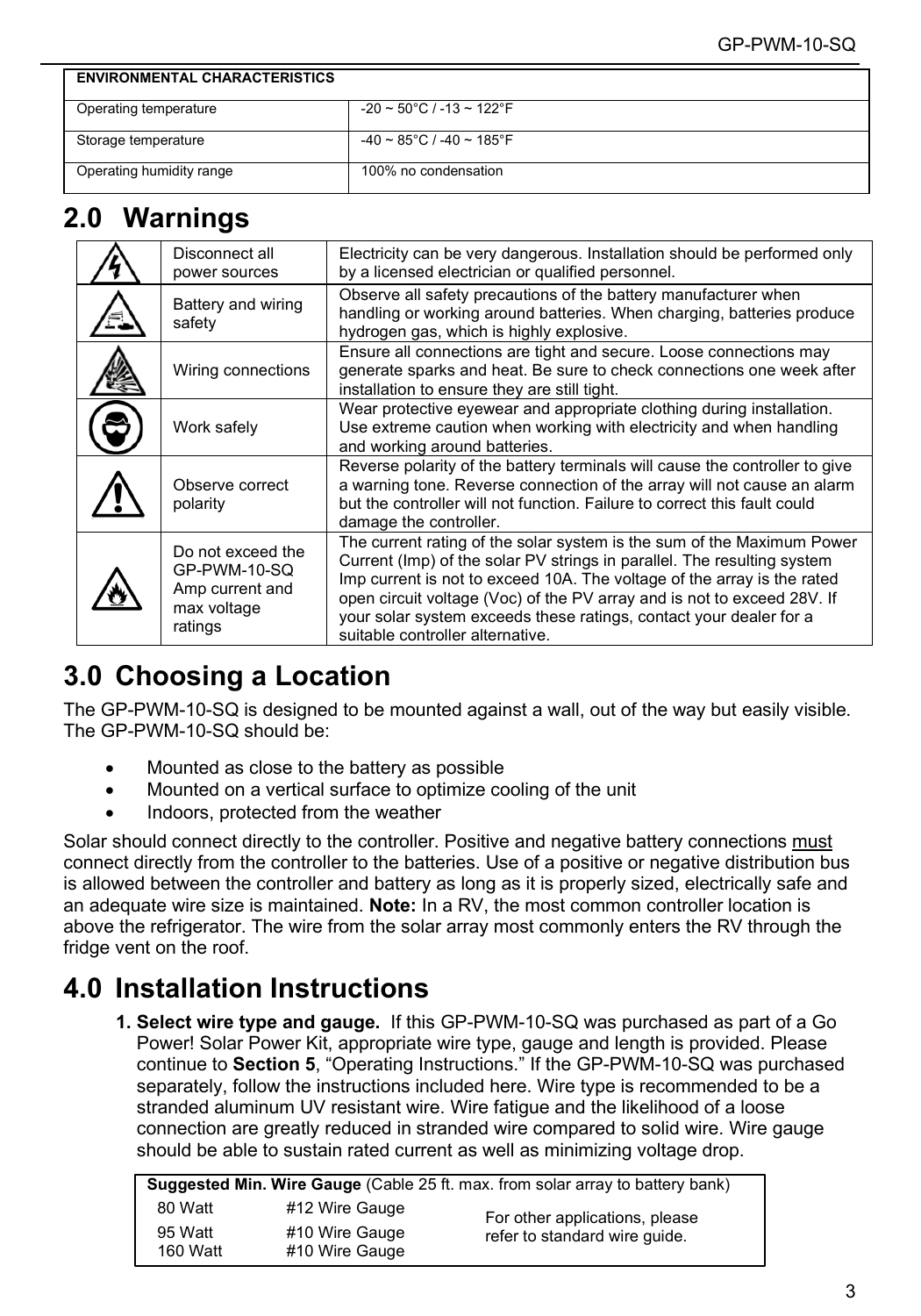| <b>ENVIRONMENTAL CHARACTERISTICS</b> |                                                    |
|--------------------------------------|----------------------------------------------------|
| Operating temperature                | $-20 \sim 50^{\circ}$ C / $-13 \sim 122^{\circ}$ F |
| Storage temperature                  | $-40 \sim 85^{\circ}$ C / $-40 \sim 185^{\circ}$ F |
| Operating humidity range             | 100% no condensation                               |

## <span id="page-2-0"></span>**2.0 Warnings**

| Disconnect all<br>power sources                                                | Electricity can be very dangerous. Installation should be performed only<br>by a licensed electrician or qualified personnel.                                                                                                                                                                                                                                                                                     |
|--------------------------------------------------------------------------------|-------------------------------------------------------------------------------------------------------------------------------------------------------------------------------------------------------------------------------------------------------------------------------------------------------------------------------------------------------------------------------------------------------------------|
| Battery and wiring<br>safety                                                   | Observe all safety precautions of the battery manufacturer when<br>handling or working around batteries. When charging, batteries produce<br>hydrogen gas, which is highly explosive.                                                                                                                                                                                                                             |
| Wiring connections                                                             | Ensure all connections are tight and secure. Loose connections may<br>generate sparks and heat. Be sure to check connections one week after<br>installation to ensure they are still tight.                                                                                                                                                                                                                       |
| Work safely                                                                    | Wear protective eyewear and appropriate clothing during installation.<br>Use extreme caution when working with electricity and when handling<br>and working around batteries.                                                                                                                                                                                                                                     |
| Observe correct<br>polarity                                                    | Reverse polarity of the battery terminals will cause the controller to give<br>a warning tone. Reverse connection of the array will not cause an alarm<br>but the controller will not function. Failure to correct this fault could<br>damage the controller.                                                                                                                                                     |
| Do not exceed the<br>GP-PWM-10-SQ<br>Amp current and<br>max voltage<br>ratings | The current rating of the solar system is the sum of the Maximum Power<br>Current (Imp) of the solar PV strings in parallel. The resulting system<br>Imp current is not to exceed 10A. The voltage of the array is the rated<br>open circuit voltage (Voc) of the PV array and is not to exceed 28V. If<br>your solar system exceeds these ratings, contact your dealer for a<br>suitable controller alternative. |

# <span id="page-2-1"></span>**3.0 Choosing a Location**

The GP-PWM-10-SQ is designed to be mounted against a wall, out of the way but easily visible. The GP-PWM-10-SQ should be:

- Mounted as close to the battery as possible
- Mounted on a vertical surface to optimize cooling of the unit
- Indoors, protected from the weather

Solar should connect directly to the controller. Positive and negative battery connections must connect directly from the controller to the batteries. Use of a positive or negative distribution bus is allowed between the controller and battery as long as it is properly sized, electrically safe and an adequate wire size is maintained. **Note:** In a RV, the most common controller location is above the refrigerator. The wire from the solar array most commonly enters the RV through the fridge vent on the roof.

# <span id="page-2-2"></span>**4.0 Installation Instructions**

**1. Select wire type and gauge.** If this GP-PWM-10-SQ was purchased as part of a Go Power! Solar Power Kit, appropriate wire type, gauge and length is provided. Please continue to **Section 5**, "Operating Instructions." If the GP-PWM-10-SQ was purchased separately, follow the instructions included here. Wire type is recommended to be a stranded aluminum UV resistant wire. Wire fatigue and the likelihood of a loose connection are greatly reduced in stranded wire compared to solid wire. Wire gauge should be able to sustain rated current as well as minimizing voltage drop.

| <b>Suggested Min. Wire Gauge</b> (Cable 25 ft. max. from solar array to battery bank) |                                  |                                |  |  |  |  |  |
|---------------------------------------------------------------------------------------|----------------------------------|--------------------------------|--|--|--|--|--|
| 80 Watt                                                                               | #12 Wire Gauge                   | For other applications, please |  |  |  |  |  |
| 95 Watt<br>160 Watt                                                                   | #10 Wire Gauge<br>#10 Wire Gauge | refer to standard wire quide.  |  |  |  |  |  |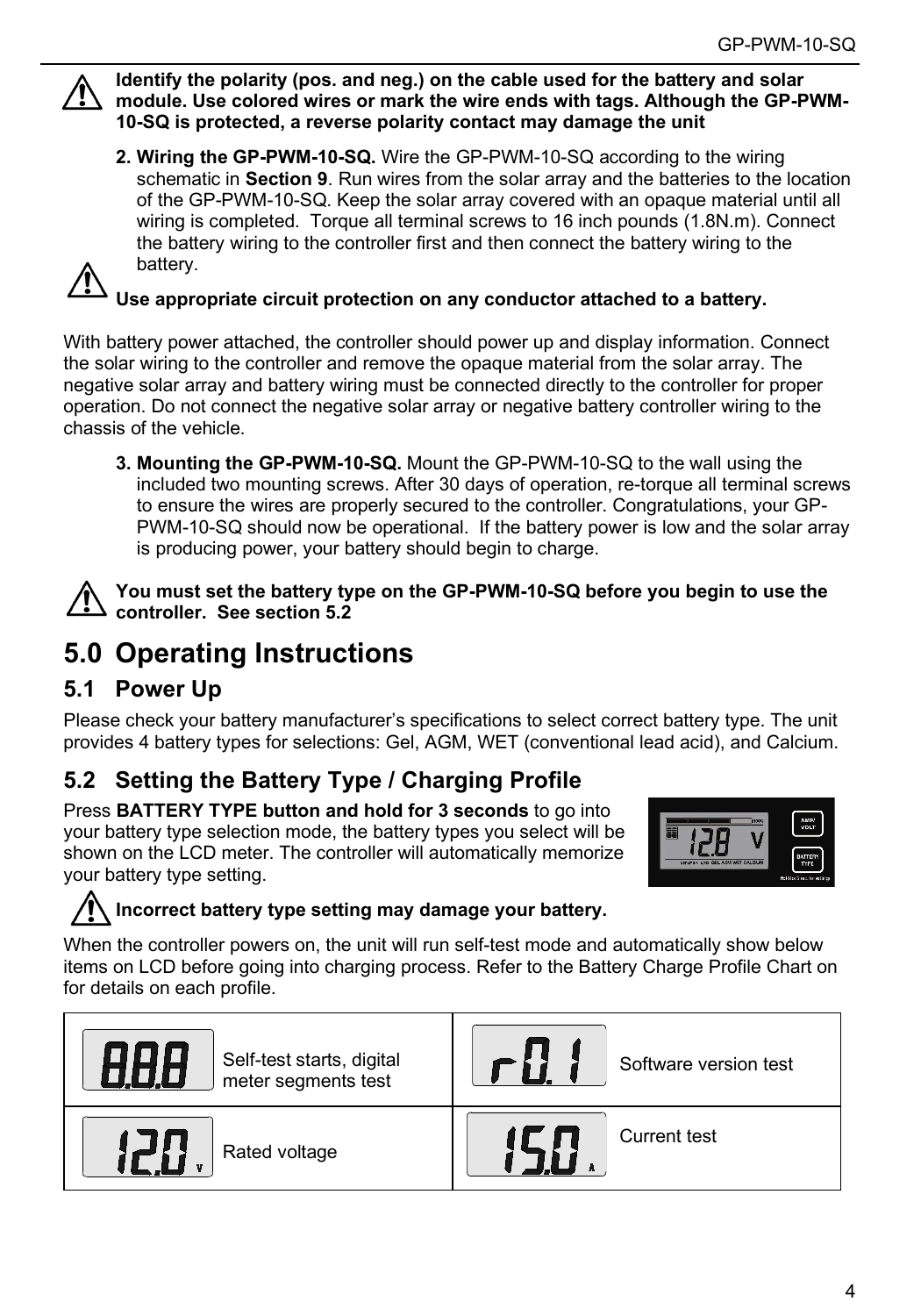

**Identify the polarity (pos. and neg.) on the cable used for the battery and solar module. Use colored wires or mark the wire ends with tags. Although the GP-PWM-10-SQ is protected, a reverse polarity contact may damage the unit**

**2. Wiring the GP-PWM-10-SQ.** Wire the GP-PWM-10-SQ according to the wiring schematic in **Section 9**. Run wires from the solar array and the batteries to the location of the GP-PWM-10-SQ. Keep the solar array covered with an opaque material until all wiring is completed. Torque all terminal screws to 16 inch pounds (1.8N.m). Connect the battery wiring to the controller first and then connect the battery wiring to the battery.



**Use appropriate circuit protection on any conductor attached to a battery.**

With battery power attached, the controller should power up and display information. Connect the solar wiring to the controller and remove the opaque material from the solar array. The negative solar array and battery wiring must be connected directly to the controller for proper operation. Do not connect the negative solar array or negative battery controller wiring to the chassis of the vehicle.

**3. Mounting the GP-PWM-10-SQ.** Mount the GP-PWM-10-SQ to the wall using the included two mounting screws. After 30 days of operation, re-torque all terminal screws to ensure the wires are properly secured to the controller. Congratulations, your GP-PWM-10-SQ should now be operational. If the battery power is low and the solar array is producing power, your battery should begin to charge.

**You must set the battery type on the GP-PWM-10-SQ before you begin to use the controller. See section 5.2**

# <span id="page-3-0"></span>**5.0 Operating Instructions**

## **5.1 Power Up**

Please check your battery manufacturer's specifications to select correct battery type. The unit provides 4 battery types for selections: Gel, AGM, WET (conventional lead acid), and Calcium.

## **5.2 Setting the Battery Type / Charging Profile**

Press **BATTERY TYPE button and hold for 3 seconds** to go into your battery type selection mode, the battery types you select will be shown on the LCD meter. The controller will automatically memorize your battery type setting.



### **Incorrect battery type setting may damage your battery.**

When the controller powers on, the unit will run self-test mode and automatically show below items on LCD before going into charging process. Refer to the Battery Charge Profile Chart on for details on each profile.

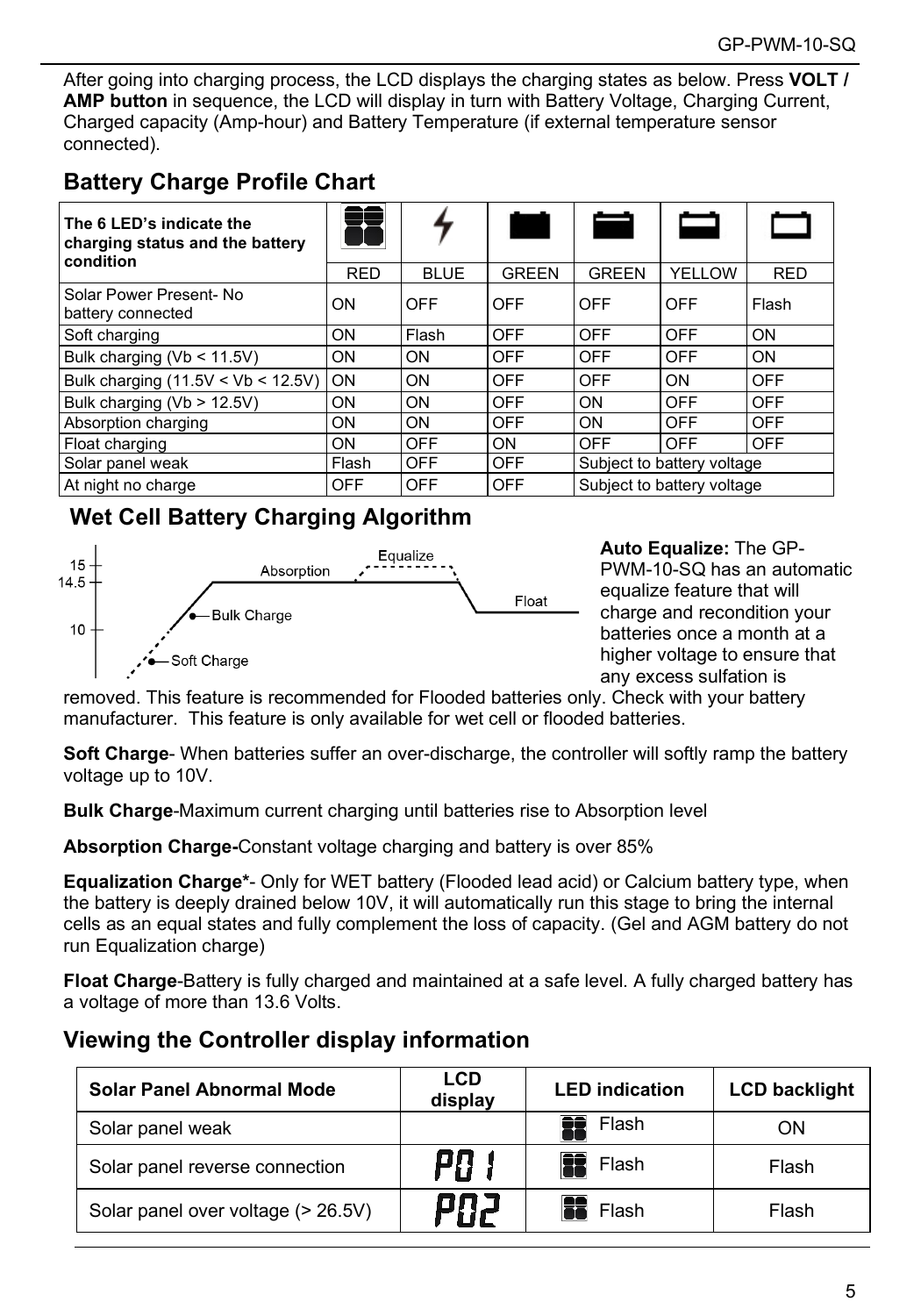After going into charging process, the LCD displays the charging states as below. Press **VOLT / AMP button** in sequence, the LCD will display in turn with Battery Voltage, Charging Current, Charged capacity (Amp-hour) and Battery Temperature (if external temperature sensor connected).

### **Battery Charge Profile Chart**

| The 6 LED's indicate the<br>charging status and the battery<br>condition |            |             | a an         |              |                            |            |  |
|--------------------------------------------------------------------------|------------|-------------|--------------|--------------|----------------------------|------------|--|
|                                                                          | <b>RED</b> | <b>BLUE</b> | <b>GREEN</b> | <b>GREEN</b> | YELLOW                     | <b>RED</b> |  |
| Solar Power Present- No<br>battery connected                             | <b>ON</b>  | OFF         | OFF          | OFF          | OFF                        | Flash      |  |
| Soft charging                                                            | ON         | Flash       | OFF          | OFF          | OFF                        | ON         |  |
| Bulk charging (Vb < 11.5V)                                               | <b>ON</b>  | ON          | <b>OFF</b>   | OFF          | <b>OFF</b>                 | ON         |  |
| Bulk charging $(11.5V < Vb < 12.5V)$                                     | ON         | ON          | <b>OFF</b>   | OFF          | ON                         | <b>OFF</b> |  |
| Bulk charging (Vb > 12.5V)                                               | ON         | ON          | OFF          | ON           | OFF                        | <b>OFF</b> |  |
| Absorption charging                                                      | <b>ON</b>  | ON          | <b>OFF</b>   | ON           | OFF                        | <b>OFF</b> |  |
| Float charging                                                           | <b>ON</b>  | <b>OFF</b>  | ON           | <b>OFF</b>   | <b>OFF</b>                 | <b>OFF</b> |  |
| Solar panel weak                                                         | Flash      | OFF         | <b>OFF</b>   |              | Subject to battery voltage |            |  |
| At night no charge                                                       | OFF        | OFF         | OFF          |              | Subject to battery voltage |            |  |

### **Wet Cell Battery Charging Algorithm**



**Auto Equalize:** The GP-PWM-10-SQ has an automatic equalize feature that will charge and recondition your batteries once a month at a higher voltage to ensure that any excess sulfation is

removed. This feature is recommended for Flooded batteries only. Check with your battery manufacturer. This feature is only available for wet cell or flooded batteries.

**Soft Charge**- When batteries suffer an over-discharge, the controller will softly ramp the battery voltage up to 10V.

**Bulk Charge**-Maximum current charging until batteries rise to Absorption level

**Absorption Charge-**Constant voltage charging and battery is over 85%

**Equalization Charge\***- Only for WET battery (Flooded lead acid) or Calcium battery type, when the battery is deeply drained below 10V, it will automatically run this stage to bring the internal cells as an equal states and fully complement the loss of capacity. (Gel and AGM battery do not run Equalization charge)

**Float Charge**-Battery is fully charged and maintained at a safe level. A fully charged battery has a voltage of more than 13.6 Volts.

### **Viewing the Controller display information**

| Solar Panel Abnormal Mode          | LCD<br>display | <b>LED</b> indication | <b>LCD backlight</b> |
|------------------------------------|----------------|-----------------------|----------------------|
| Solar panel weak                   |                | Flash                 | ΟN                   |
| Solar panel reverse connection     | P0             | Flash                 | Flash                |
| Solar panel over voltage (> 26.5V) | PAZ            | Flash                 | Flash                |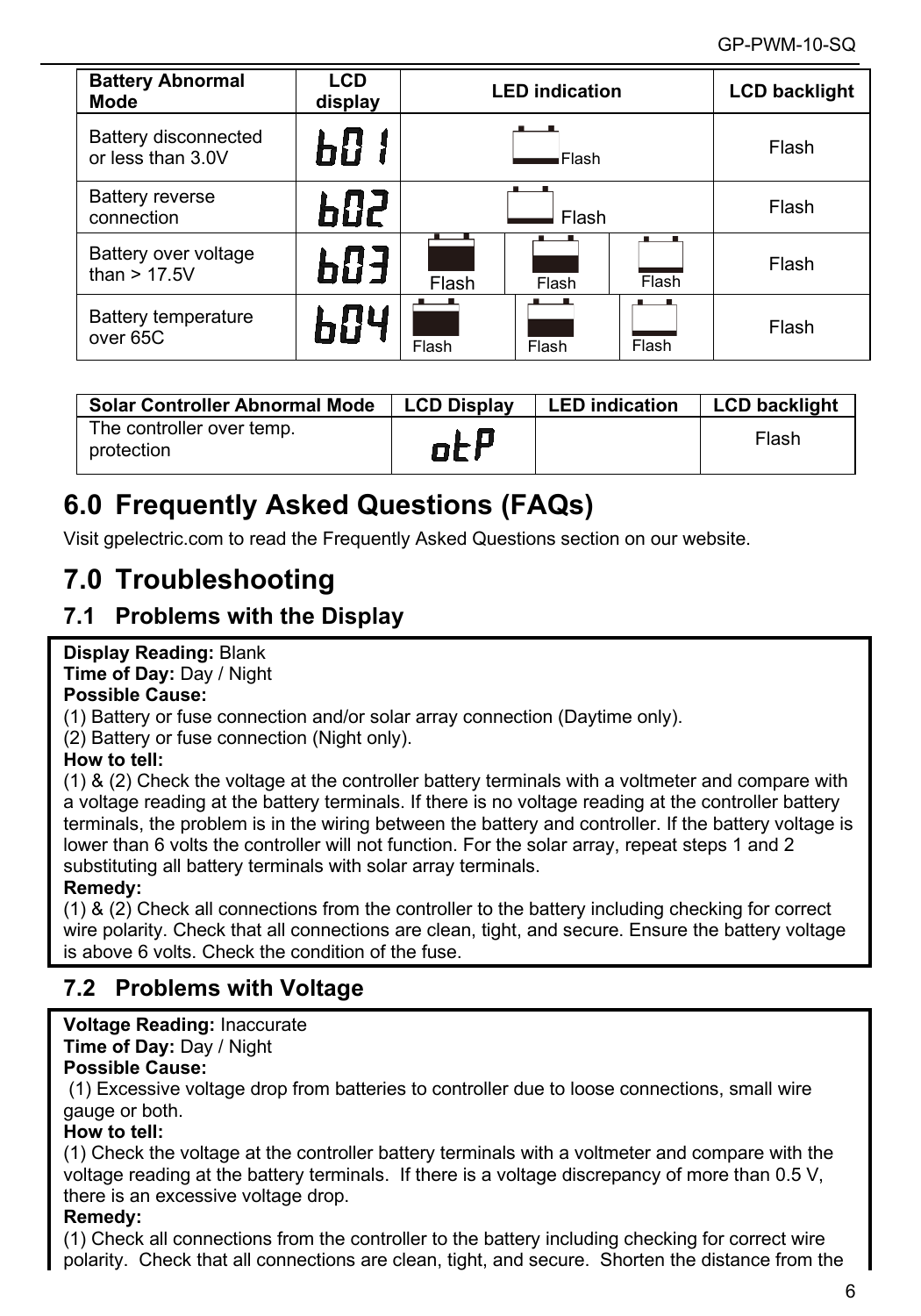| <b>Battery Abnormal</b><br>Mode           | <b>LCD</b><br>display | <b>LED</b> indication   |       |       | <b>LCD backlight</b> |
|-------------------------------------------|-----------------------|-------------------------|-------|-------|----------------------|
| Battery disconnected<br>or less than 3.0V | 60 I                  | Flash                   |       |       | Flash                |
| <b>Battery reverse</b><br>connection      | 602 S                 | Flash                   |       |       | Flash                |
| Battery over voltage<br>than $> 17.5V$    | 603                   | Flash<br>Flash<br>Flash |       |       | Flash                |
| Battery temperature<br>over 65C           | 604                   | Flash                   | Flash | Flash | Flash                |

| Solar Controller Abnormal Mode          | <b>LCD Display</b> | <b>LED</b> indication | <b>LCD backlight</b> |
|-----------------------------------------|--------------------|-----------------------|----------------------|
| The controller over temp.<br>protection | otF                |                       | Flash                |

# <span id="page-5-0"></span>**6.0 Frequently Asked Questions (FAQs)**

Visit gpelectric.com to read the Frequently Asked Questions section on our website.

# <span id="page-5-1"></span>**7.0 Troubleshooting**

## **7.1 Problems with the Display**

### **Display Reading:** Blank

**Time of Day:** Day / Night

#### **Possible Cause:**

(1) Battery or fuse connection and/or solar array connection (Daytime only).

(2) Battery or fuse connection (Night only).

### **How to tell:**

(1) & (2) Check the voltage at the controller battery terminals with a voltmeter and compare with a voltage reading at the battery terminals. If there is no voltage reading at the controller battery terminals, the problem is in the wiring between the battery and controller. If the battery voltage is lower than 6 volts the controller will not function. For the solar array, repeat steps 1 and 2 substituting all battery terminals with solar array terminals.

#### **Remedy:**

(1) & (2) Check all connections from the controller to the battery including checking for correct wire polarity. Check that all connections are clean, tight, and secure. Ensure the battery voltage is above 6 volts. Check the condition of the fuse.

## **7.2 Problems with Voltage**

## **Voltage Reading:** Inaccurate

**Time of Day:** Day / Night

### **Possible Cause:**

(1) Excessive voltage drop from batteries to controller due to loose connections, small wire gauge or both.

### **How to tell:**

(1) Check the voltage at the controller battery terminals with a voltmeter and compare with the voltage reading at the battery terminals. If there is a voltage discrepancy of more than 0.5 V, there is an excessive voltage drop.

### **Remedy:**

(1) Check all connections from the controller to the battery including checking for correct wire polarity. Check that all connections are clean, tight, and secure. Shorten the distance from the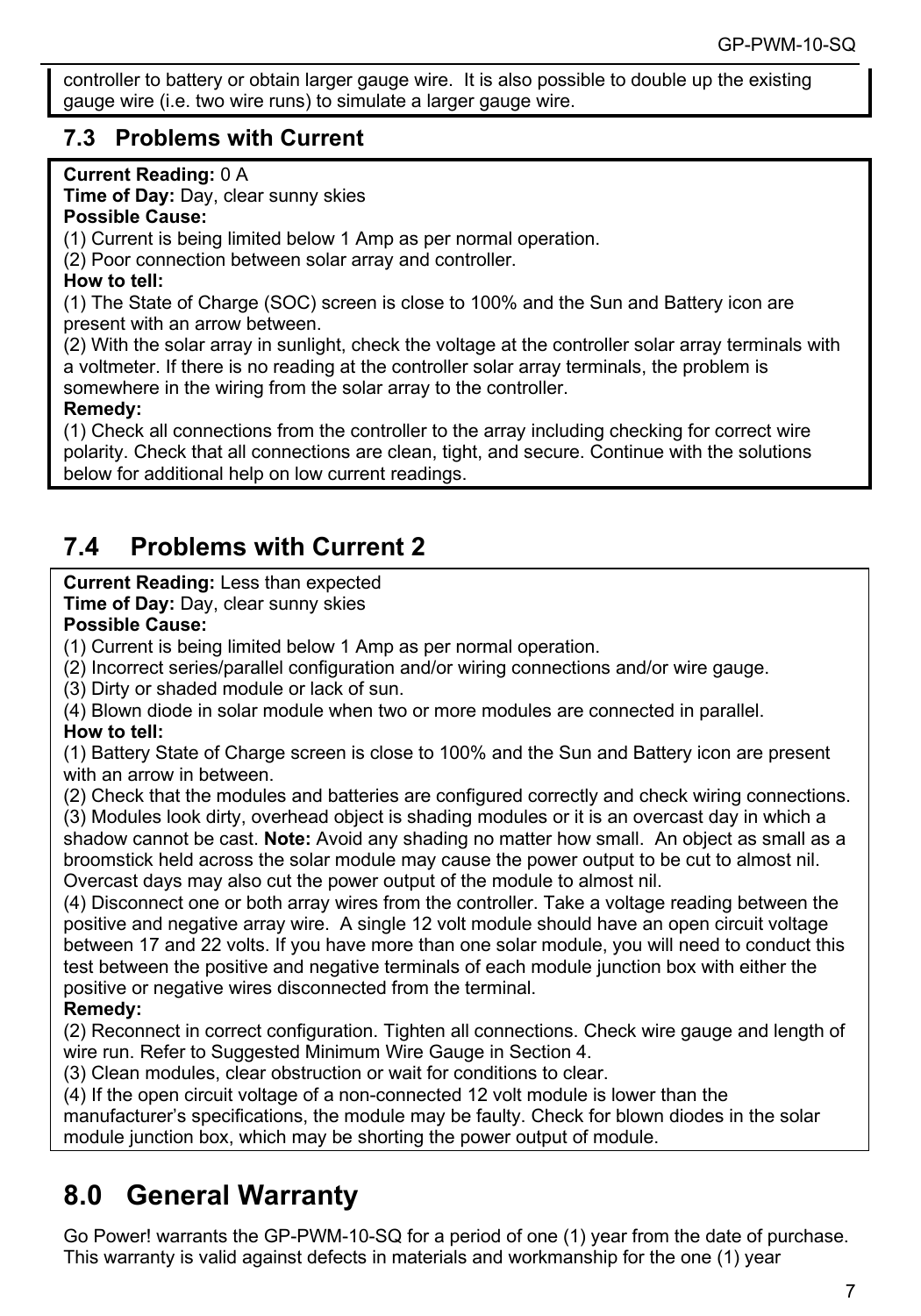controller to battery or obtain larger gauge wire. It is also possible to double up the existing gauge wire (i.e. two wire runs) to simulate a larger gauge wire.

### **7.3 Problems with Current**

### **Current Reading:** 0 A

**Time of Day:** Day, clear sunny skies

#### **Possible Cause:**

(1) Current is being limited below 1 Amp as per normal operation.

(2) Poor connection between solar array and controller.

#### **How to tell:**

(1) The State of Charge (SOC) screen is close to 100% and the Sun and Battery icon are present with an arrow between.

(2) With the solar array in sunlight, check the voltage at the controller solar array terminals with a voltmeter. If there is no reading at the controller solar array terminals, the problem is somewhere in the wiring from the solar array to the controller.

### **Remedy:**

(1) Check all connections from the controller to the array including checking for correct wire polarity. Check that all connections are clean, tight, and secure. Continue with the solutions below for additional help on low current readings.

## **7.4 Problems with Current 2**

### **Current Reading:** Less than expected

**Time of Day:** Day, clear sunny skies

#### **Possible Cause:**

(1) Current is being limited below 1 Amp as per normal operation.

(2) Incorrect series/parallel configuration and/or wiring connections and/or wire gauge.

(3) Dirty or shaded module or lack of sun.

(4) Blown diode in solar module when two or more modules are connected in parallel.

### **How to tell:**

(1) Battery State of Charge screen is close to 100% and the Sun and Battery icon are present with an arrow in between.

(2) Check that the modules and batteries are configured correctly and check wiring connections. (3) Modules look dirty, overhead object is shading modules or it is an overcast day in which a

shadow cannot be cast. **Note:** Avoid any shading no matter how small. An object as small as a broomstick held across the solar module may cause the power output to be cut to almost nil. Overcast days may also cut the power output of the module to almost nil.

(4) Disconnect one or both array wires from the controller. Take a voltage reading between the positive and negative array wire. A single 12 volt module should have an open circuit voltage between 17 and 22 volts. If you have more than one solar module, you will need to conduct this test between the positive and negative terminals of each module junction box with either the positive or negative wires disconnected from the terminal.

### **Remedy:**

(2) Reconnect in correct configuration. Tighten all connections. Check wire gauge and length of wire run. Refer to Suggested Minimum Wire Gauge in Section 4.

(3) Clean modules, clear obstruction or wait for conditions to clear.

(4) If the open circuit voltage of a non-connected 12 volt module is lower than the

manufacturer's specifications, the module may be faulty. Check for blown diodes in the solar module junction box, which may be shorting the power output of module.

# <span id="page-6-0"></span>**8.0 General Warranty**

Go Power! warrants the GP-PWM-10-SQ for a period of one (1) year from the date of purchase. This warranty is valid against defects in materials and workmanship for the one (1) year